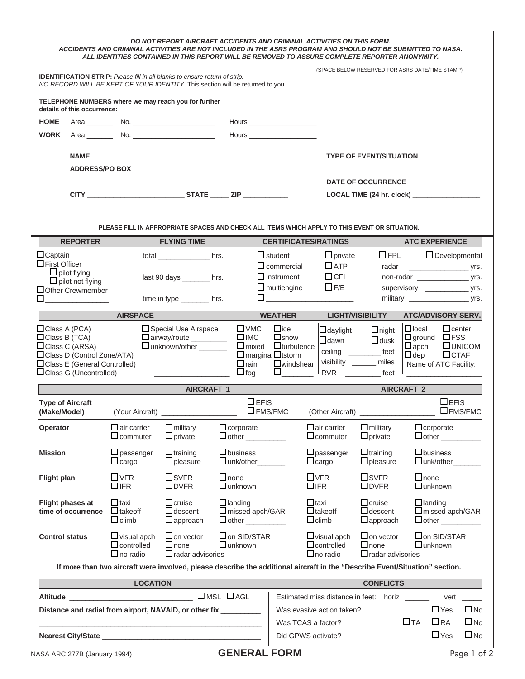|                                                                                                                                                                                                                                                                                                                                                                                                                                                                                                                                                                                                                                                                                                                      |                                                                                                                                                                                                                                |                                                                                                                                                                                       |                                                                                                                                                                     |                                                             |                                                                                                                                                                  | DO NOT REPORT AIRCRAFT ACCIDENTS AND CRIMINAL ACTIVITIES ON THIS FORM.<br>ALL IDENTITIES CONTAINED IN THIS REPORT WILL BE REMOVED TO ASSURE COMPLETE REPORTER ANONYMITY. |                                                                                 | ACCIDENTS AND CRIMINAL ACTIVITIES ARE NOT INCLUDED IN THE ASRS PROGRAM AND SHOULD NOT BE SUBMITTED TO NASA. |      |  |  |
|----------------------------------------------------------------------------------------------------------------------------------------------------------------------------------------------------------------------------------------------------------------------------------------------------------------------------------------------------------------------------------------------------------------------------------------------------------------------------------------------------------------------------------------------------------------------------------------------------------------------------------------------------------------------------------------------------------------------|--------------------------------------------------------------------------------------------------------------------------------------------------------------------------------------------------------------------------------|---------------------------------------------------------------------------------------------------------------------------------------------------------------------------------------|---------------------------------------------------------------------------------------------------------------------------------------------------------------------|-------------------------------------------------------------|------------------------------------------------------------------------------------------------------------------------------------------------------------------|--------------------------------------------------------------------------------------------------------------------------------------------------------------------------|---------------------------------------------------------------------------------|-------------------------------------------------------------------------------------------------------------|------|--|--|
|                                                                                                                                                                                                                                                                                                                                                                                                                                                                                                                                                                                                                                                                                                                      |                                                                                                                                                                                                                                |                                                                                                                                                                                       | <b>IDENTIFICATION STRIP:</b> Please fill in all blanks to ensure return of strip.<br>NO RECORD WILL BE KEPT OF YOUR IDENTITY. This section will be returned to you. |                                                             |                                                                                                                                                                  |                                                                                                                                                                          |                                                                                 | (SPACE BELOW RESERVED FOR ASRS DATE/TIME STAMP)                                                             |      |  |  |
|                                                                                                                                                                                                                                                                                                                                                                                                                                                                                                                                                                                                                                                                                                                      | details of this occurrence:                                                                                                                                                                                                    |                                                                                                                                                                                       | TELEPHONE NUMBERS where we may reach you for further                                                                                                                |                                                             |                                                                                                                                                                  |                                                                                                                                                                          |                                                                                 |                                                                                                             |      |  |  |
| <b>HOME</b>                                                                                                                                                                                                                                                                                                                                                                                                                                                                                                                                                                                                                                                                                                          |                                                                                                                                                                                                                                |                                                                                                                                                                                       |                                                                                                                                                                     | Hours $\_\_$                                                |                                                                                                                                                                  |                                                                                                                                                                          |                                                                                 |                                                                                                             |      |  |  |
| <b>WORK</b>                                                                                                                                                                                                                                                                                                                                                                                                                                                                                                                                                                                                                                                                                                          |                                                                                                                                                                                                                                |                                                                                                                                                                                       |                                                                                                                                                                     |                                                             |                                                                                                                                                                  |                                                                                                                                                                          |                                                                                 |                                                                                                             |      |  |  |
|                                                                                                                                                                                                                                                                                                                                                                                                                                                                                                                                                                                                                                                                                                                      |                                                                                                                                                                                                                                |                                                                                                                                                                                       |                                                                                                                                                                     |                                                             |                                                                                                                                                                  |                                                                                                                                                                          |                                                                                 |                                                                                                             |      |  |  |
|                                                                                                                                                                                                                                                                                                                                                                                                                                                                                                                                                                                                                                                                                                                      |                                                                                                                                                                                                                                |                                                                                                                                                                                       |                                                                                                                                                                     |                                                             |                                                                                                                                                                  |                                                                                                                                                                          |                                                                                 | TYPE OF EVENT/SITUATION                                                                                     |      |  |  |
|                                                                                                                                                                                                                                                                                                                                                                                                                                                                                                                                                                                                                                                                                                                      | ADDRESS/PO BOX AND AND ANNOUNCED AND ANNOUNCED AND ANNOUNCED AND ANNOUNCED AND ANNOUNCED AND ANNOUNCED AND ANNOUNCED AND ANNOUNCED AND ANNOUNCED AND ANNOUNCED AND ANNOUNCED AND ANNOUNCED AND ANNOUNCED AND ANNOUNCED AND ANN |                                                                                                                                                                                       |                                                                                                                                                                     |                                                             |                                                                                                                                                                  |                                                                                                                                                                          |                                                                                 |                                                                                                             |      |  |  |
|                                                                                                                                                                                                                                                                                                                                                                                                                                                                                                                                                                                                                                                                                                                      |                                                                                                                                                                                                                                |                                                                                                                                                                                       |                                                                                                                                                                     |                                                             | DATE OF OCCURRENCE                                                                                                                                               |                                                                                                                                                                          |                                                                                 |                                                                                                             |      |  |  |
|                                                                                                                                                                                                                                                                                                                                                                                                                                                                                                                                                                                                                                                                                                                      |                                                                                                                                                                                                                                |                                                                                                                                                                                       |                                                                                                                                                                     |                                                             |                                                                                                                                                                  |                                                                                                                                                                          |                                                                                 |                                                                                                             |      |  |  |
|                                                                                                                                                                                                                                                                                                                                                                                                                                                                                                                                                                                                                                                                                                                      |                                                                                                                                                                                                                                |                                                                                                                                                                                       |                                                                                                                                                                     |                                                             |                                                                                                                                                                  | PLEASE FILL IN APPROPRIATE SPACES AND CHECK ALL ITEMS WHICH APPLY TO THIS EVENT OR SITUATION.                                                                            |                                                                                 |                                                                                                             |      |  |  |
|                                                                                                                                                                                                                                                                                                                                                                                                                                                                                                                                                                                                                                                                                                                      | <b>REPORTER</b>                                                                                                                                                                                                                |                                                                                                                                                                                       | <b>FLYING TIME</b>                                                                                                                                                  |                                                             |                                                                                                                                                                  | <b>CERTIFICATES/RATINGS</b>                                                                                                                                              |                                                                                 | <b>ATC EXPERIENCE</b>                                                                                       |      |  |  |
| $\Box$ Captain                                                                                                                                                                                                                                                                                                                                                                                                                                                                                                                                                                                                                                                                                                       |                                                                                                                                                                                                                                |                                                                                                                                                                                       | total _____________hrs.                                                                                                                                             |                                                             | $\Box$ student                                                                                                                                                   | $\Box$ private                                                                                                                                                           |                                                                                 | $\Box$ FPL $\Box$ Developmental                                                                             |      |  |  |
| □First Officer                                                                                                                                                                                                                                                                                                                                                                                                                                                                                                                                                                                                                                                                                                       |                                                                                                                                                                                                                                |                                                                                                                                                                                       |                                                                                                                                                                     |                                                             | $\Box$ commercial                                                                                                                                                | $\Box$ ATP                                                                                                                                                               |                                                                                 |                                                                                                             |      |  |  |
|                                                                                                                                                                                                                                                                                                                                                                                                                                                                                                                                                                                                                                                                                                                      | $\Box$ pilot flying<br>$\Box$ pilot not flying                                                                                                                                                                                 |                                                                                                                                                                                       | last 90 days ________ hrs.                                                                                                                                          |                                                             | $\Box$ instrument                                                                                                                                                | $\Box$ CFI                                                                                                                                                               |                                                                                 |                                                                                                             |      |  |  |
|                                                                                                                                                                                                                                                                                                                                                                                                                                                                                                                                                                                                                                                                                                                      | □ Other Crewmember                                                                                                                                                                                                             |                                                                                                                                                                                       |                                                                                                                                                                     |                                                             | $\Box$ multiengine                                                                                                                                               | $\Box$ F/E                                                                                                                                                               |                                                                                 |                                                                                                             |      |  |  |
|                                                                                                                                                                                                                                                                                                                                                                                                                                                                                                                                                                                                                                                                                                                      |                                                                                                                                                                                                                                |                                                                                                                                                                                       | time in type ________ hrs.                                                                                                                                          |                                                             | $\Box$ and $\Box$ and $\Box$                                                                                                                                     |                                                                                                                                                                          |                                                                                 |                                                                                                             |      |  |  |
|                                                                                                                                                                                                                                                                                                                                                                                                                                                                                                                                                                                                                                                                                                                      |                                                                                                                                                                                                                                | <b>AIRSPACE</b>                                                                                                                                                                       |                                                                                                                                                                     |                                                             | <b>WEATHER</b>                                                                                                                                                   |                                                                                                                                                                          | <b>LIGHT/VISIBILITY</b>                                                         | <b>ATC/ADVISORY SERV.</b>                                                                                   |      |  |  |
| $\square$ VMC<br>$\Box$ ice<br>$\Box$ local<br>$\Box$ Class A (PCA)<br>Special Use Airspace<br>$\Box$ center<br>$\Box$ daylight $\Box$ night<br>$\square$ IMC<br>$\Box$ ground $\Box$ FSS<br>$\Box$ Class B (TCA)<br>$\Box$ snow<br>$\Box$ dawn<br>$\Box$ dusk<br>$\square$ mixed<br>$\Box$ turbulence<br>$\Box$ apch<br><b>OUNICOM</b><br>$\Box$ Class C (ARSA)<br>Iunknown/other<br>ceiling __________ feet<br>$\Box$ dep<br>$\Box$ marginal $\Box$ tstorm<br>$\Box$ CTAF<br>□ Class D (Control Zone/ATA)<br>visibility _______ miles<br>□ Class E (General Controlled)<br>$\Box$ rain<br>$\square$ windshear<br>Name of ATC Facility:<br>$\Box$ fog<br>□ Class G (Uncontrolled)<br>$\Box$<br>RVR ___________ feet |                                                                                                                                                                                                                                |                                                                                                                                                                                       |                                                                                                                                                                     |                                                             |                                                                                                                                                                  |                                                                                                                                                                          |                                                                                 |                                                                                                             |      |  |  |
|                                                                                                                                                                                                                                                                                                                                                                                                                                                                                                                                                                                                                                                                                                                      |                                                                                                                                                                                                                                |                                                                                                                                                                                       | <b>AIRCRAFT 1</b>                                                                                                                                                   |                                                             |                                                                                                                                                                  |                                                                                                                                                                          |                                                                                 | <b>AIRCRAFT 2</b>                                                                                           |      |  |  |
| <b>Type of Aircraft</b><br>(Make/Model)                                                                                                                                                                                                                                                                                                                                                                                                                                                                                                                                                                                                                                                                              |                                                                                                                                                                                                                                |                                                                                                                                                                                       | (Your Aircraft)                                                                                                                                                     | $\Box$ EFIS<br>$\Box$ FMS/FMC                               |                                                                                                                                                                  |                                                                                                                                                                          |                                                                                 | $\Box$ EFIS                                                                                                 |      |  |  |
| Operator                                                                                                                                                                                                                                                                                                                                                                                                                                                                                                                                                                                                                                                                                                             |                                                                                                                                                                                                                                | $\Box$ air carrier<br>$\Box$ commuter                                                                                                                                                 | $\Box$ military<br>$\Box$ private                                                                                                                                   | $\Box$ corporate<br>$\Box$ other $\_\_\_\_\_\_\_\_\_\_\_\_$ |                                                                                                                                                                  | $\Box$ air carrier<br>$\Box$ commuter                                                                                                                                    | $\Box$ military<br>$\Box$ private                                               | $\Box$ corporate<br>$\Box$ other $\_\_\_\_\_\_\_\_\_\_\_$                                                   |      |  |  |
| <b>Mission</b>                                                                                                                                                                                                                                                                                                                                                                                                                                                                                                                                                                                                                                                                                                       |                                                                                                                                                                                                                                | $\Box$ passenger<br>$\Box$ cargo                                                                                                                                                      | $\Box$ training<br>$\Box$ pleasure                                                                                                                                  | $\Box$ business<br>$\Box$ unk/other                         |                                                                                                                                                                  | $\Box$ passenger<br>$\Box$ cargo                                                                                                                                         | $\Box$ training<br>$\Box$ pleasure                                              | $\Box$ business<br>$\Box$ unk/other___                                                                      |      |  |  |
| Flight plan                                                                                                                                                                                                                                                                                                                                                                                                                                                                                                                                                                                                                                                                                                          |                                                                                                                                                                                                                                | $\square$ VFR<br>$\Box$ IFR                                                                                                                                                           | <b>O</b> SVFR<br>$\square$ DVFR                                                                                                                                     | $\Box$ none<br>$\Box$ unknown                               |                                                                                                                                                                  | $\square$ VFR<br>$\Box$ IFR                                                                                                                                              | <b>O</b> SVFR<br>$\square$ DVFR                                                 | $\Box$ none<br>$\Box$ unknown                                                                               |      |  |  |
| <b>Flight phases at</b>                                                                                                                                                                                                                                                                                                                                                                                                                                                                                                                                                                                                                                                                                              | time of occurrence                                                                                                                                                                                                             | $\Box$ taxi<br>$\Box$ cruise<br>$\Box$ landing<br>□ missed apch/GAR<br>$\Box$ takeoff<br>$\Box$ descent<br>$\Box$ climb<br>$\Box$ approach<br>$\Box$ other $\_\_\_\_\_\_\_\_\_\_\_\_$ |                                                                                                                                                                     |                                                             | $\Box$ taxi<br>$\Box$ takeoff<br>$\Box$ climb                                                                                                                    | $\Box$ cruise<br>$\Box$ descent<br>$\Box$ approach                                                                                                                       | $\Box$ landing<br>$\Box$ missed apch/GAR<br>$\Box$ other $\_\_\_\_\_\_\_\_\_\_$ |                                                                                                             |      |  |  |
|                                                                                                                                                                                                                                                                                                                                                                                                                                                                                                                                                                                                                                                                                                                      | $\Box$ on vector<br><b>Control status</b><br>$\Box$ visual apch<br>$\Box$ none<br>$\Box$ unknown<br>$\Box$ controlled<br>$\Box$ no radio<br>$\Box$ radar advisories                                                            |                                                                                                                                                                                       | $\Box$ on SID/STAR                                                                                                                                                  |                                                             | $\Box$ on vector<br>$\Box$ visual apch<br>$\Box$ on SID/STAR<br>$\Box$ none<br>$\Box$ unknown<br>$\Box$ controlled<br>$\Box$ no radio<br>$\Box$ radar advisories |                                                                                                                                                                          |                                                                                 |                                                                                                             |      |  |  |
| If more than two aircraft were involved, please describe the additional aircraft in the "Describe Event/Situation" section.                                                                                                                                                                                                                                                                                                                                                                                                                                                                                                                                                                                          |                                                                                                                                                                                                                                |                                                                                                                                                                                       |                                                                                                                                                                     |                                                             |                                                                                                                                                                  |                                                                                                                                                                          |                                                                                 |                                                                                                             |      |  |  |
|                                                                                                                                                                                                                                                                                                                                                                                                                                                                                                                                                                                                                                                                                                                      |                                                                                                                                                                                                                                | <b>LOCATION</b>                                                                                                                                                                       |                                                                                                                                                                     |                                                             |                                                                                                                                                                  |                                                                                                                                                                          | <b>CONFLICTS</b>                                                                |                                                                                                             |      |  |  |
|                                                                                                                                                                                                                                                                                                                                                                                                                                                                                                                                                                                                                                                                                                                      |                                                                                                                                                                                                                                | Altitude Altitude                                                                                                                                                                     |                                                                                                                                                                     | $\square$ MSL $\square$ AGL                                 |                                                                                                                                                                  | Estimated miss distance in feet: horiz                                                                                                                                   |                                                                                 |                                                                                                             | vert |  |  |
|                                                                                                                                                                                                                                                                                                                                                                                                                                                                                                                                                                                                                                                                                                                      |                                                                                                                                                                                                                                |                                                                                                                                                                                       | Distance and radial from airport, NAVAID, or other fix _________                                                                                                    |                                                             | $\Box$ Yes<br>$\square$ No<br>Was evasive action taken?                                                                                                          |                                                                                                                                                                          |                                                                                 |                                                                                                             |      |  |  |
|                                                                                                                                                                                                                                                                                                                                                                                                                                                                                                                                                                                                                                                                                                                      |                                                                                                                                                                                                                                |                                                                                                                                                                                       |                                                                                                                                                                     |                                                             | $\square$ No<br>$\square$ TA<br>$\Box$ RA<br>Was TCAS a factor?<br>$\square$ No<br>$\Box$ Yes<br>Did GPWS activate?                                              |                                                                                                                                                                          |                                                                                 |                                                                                                             |      |  |  |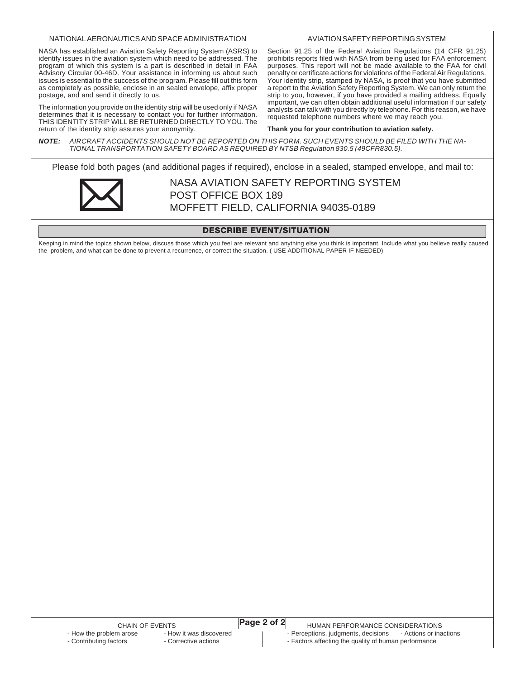## NATIONAL AERONAUTICS AND SPACE ADMINISTRATION NASA has established an Aviation Safety Reporting System (ASRS) to identify issues in the aviation system which need to be addressed. The program of which this system is a part is described in detail in FAA Advisory Circular 00-46D. Your assistance in informing us about such issues is essential to the success of the program. Please fill out this form as completely as possible, enclose in an sealed envelope, affix proper postage, and and send it directly to us. The information you provide on the identity strip will be used only if NASA determines that it is necessary to contact you for further information. THIS IDENTITY STRIP WILL BE RETURNED DIRECTLY TO YOU. The return of the identity strip assures your anonymity. AVIATION SAFETY REPORTING SYSTEM Section 91.25 of the Federal Aviation Regulations (14 CFR 91.25) prohibits reports filed with NASA from being used for FAA enforcement purposes. This report will not be made available to the FAA for civil penalty or certificate actions for violations of the Federal Air Regulations. Your identity strip, stamped by NASA, is proof that you have submitted a report to the Aviation Safety Reporting System. We can only return the strip to you, however, if you have provided a mailing address. Equally important, we can often obtain additional useful information if our safety analysts can talk with you directly by telephone. For this reason, we have requested telephone numbers where we may reach you. **Thank you for your contribution to aviation safety. NOTE:** AIRCRAFT ACCIDENTS SHOULD NOT BE REPORTED ON THIS FORM. SUCH EVENTS SHOULD BE FILED WITH THE NA-TIONAL TRANSPORTATION SAFETY BOARD AS REQUIRED BY NTSB Regulation 830.5 (49CFR830.5). Please fold both pages (and additional pages if required), enclose in a sealed, stamped envelope, and mail to: NASA AVIATION SAFETY REPORTING SYSTEM POST OFFICE BOX 189 MOFFETT FIELD, CALIFORNIA 94035-0189 **DESCRIBE EVENT/SITUATION** Keeping in mind the topics shown below, discuss those which you feel are relevant and anything else you think is important. Include what you believe really caused the problem, and what can be done to prevent a recurrence, or correct the situation. ( USE ADDITIONAL PAPER IF NEEDED)  $\overline{\mathsf{X}}$